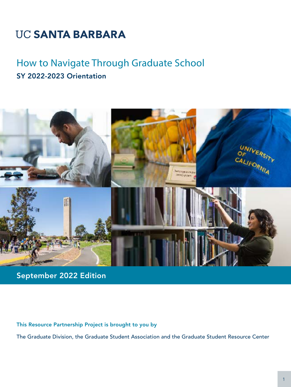# **UC SANTA BARBARA**

## How to Navigate Through Graduate School SY 2022-2023 Orientation



September 2022 Edition

This Resource Partnership Project is brought to you by

The Graduate Division, the Graduate Student Association and the Graduate Student Resource Center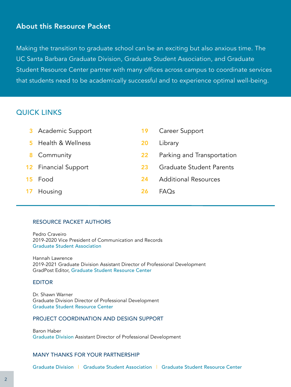## About this Resource Packet

Making the transition to graduate school can be an exciting but also anxious time. The UC Santa Barbara Graduate Division, Graduate Student Association, and Graduate Student Resource Center partner with many offices across campus to coordinate services that students need to be academically successful and to experience optimal well-being.

## QUICK LINKS

| 3               | <b>Academic Support</b>     | 19 | Career Support                  |
|-----------------|-----------------------------|----|---------------------------------|
|                 | Health & Wellness           | 20 | Library                         |
| 8               | Community                   | 22 | Parking and Transportation      |
|                 | <b>12</b> Financial Support | 23 | <b>Graduate Student Parents</b> |
| 15 <sub>1</sub> | Food                        | 24 | <b>Additional Resources</b>     |
| 17              | Housing                     | 26 | FAOs                            |

#### RESOURCE PACKET AUTHORS

Pedro Craveiro 2019-2020 Vice President of Communication and Records [Graduate Student Association](https://gsa.ucsb.edu/)

Hannah Lawrence 2019-2021 Graduate Division Assistant Director of Professional Development [G](http://www.gradpost.ucsb.edu/about-GSRC)radPost Editor, [Graduate Student Resource Center](http://www.gradpost.ucsb.edu/about-GSRC)

#### [EDITOR](http://www.gradpost.ucsb.edu/about-GSRC)

[Dr. Shawn Warner](http://www.gradpost.ucsb.edu/about-GSRC)  [Graduate Division Director of Professional Development](http://www.gradpost.ucsb.edu/about-GSRC) [Graduate Student Resource Center](http://www.gradpost.ucsb.edu/about-GSRC)

#### [PROJECT COORDINATION AND DESIGN SUPPORT](http://www.gradpost.ucsb.edu/about-GSRC)

[Baron Haber](http://www.gradpost.ucsb.edu/about-GSRC) Graduate Division [Assistant Director of Professional Development](http://www.gradpost.ucsb.edu/about-GSRC)

#### MANY THANKS FOR YOUR PARTNERSHIP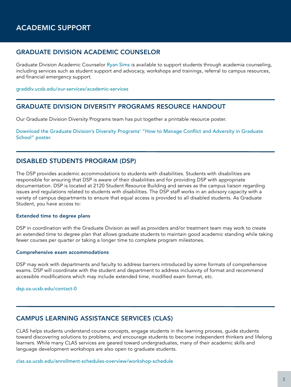#### <span id="page-2-0"></span>GRADUATE DIVISION ACADEMIC COUNSELOR

Graduate Division Academic Counselor [Ryan Sims](https://www.graddiv.ucsb.edu/staff/ryan-sims) is available to support students through academia counseling, including services such as student support and advocacy, workshops and trainings, referral to campus resources, and financial emergency support.

#### [graddiv.ucsb.edu/our-services/academic-services](http://graddiv.ucsb.edu/our-services/academic-services)

#### GRADUATE DIVISION DIVERSITY PROGRAMS RESOURCE HANDOUT

Our Graduate Division Diversity Programs team has put together a printable resource poster.

[Download the Graduate Division's Diversity Programs' "How to Manage Conflict and Adversity in Graduate](http://www.gradpost.ucsb.edu/docs/default-source/default-document-library/ucsb_graddiv_resource_v00.pdf?sfvrsn=0)  [School" poster.](http://www.gradpost.ucsb.edu/docs/default-source/default-document-library/ucsb_graddiv_resource_v00.pdf?sfvrsn=0)

#### DISABLED STUDENTS PROGRAM (DSP)

The DSP provides academic accommodations to students with disabilities. Students with disabilities are responsible for ensuring that DSP is aware of their disabilities and for providing DSP with appropriate documentation. DSP is located at 2120 Student Resource Building and serves as the campus liaison regarding issues and regulations related to students with disabilities. The DSP staff works in an advisory capacity with a variety of campus departments to ensure that equal access is provided to all disabled students. As Graduate Student, you have access to:

#### Extended time to degree plans

DSP in coordination with the Graduate Division as well as providers and/or treatment team may work to create an extended time to degree plan that allows graduate students to maintain good academic standing while taking fewer courses per quarter or taking a longer time to complete program milestones.

#### Comprehensive exam accommodations

DSP may work with departments and faculty to address barriers introduced by some formats of comprehensive exams. DSP will coordinate with the student and department to address inclusivity of format and recommend accessible modifications which may include extended time, modified exam format, etc.

#### [dsp.sa.ucsb.edu/contact-0](http://dsp.sa.ucsb.edu/contact-0)

#### CAMPUS LEARNING ASSISTANCE SERVICES (CLAS)

CLAS helps students understand course concepts, engage students in the learning process, guide students toward discovering solutions to problems, and encourage students to become independent thinkers and lifelong learners. While many CLAS services are geared toward undergraduates, many of their academic skills and language development workshops are also open to graduate students.

[clas.sa.ucsb.edu/enrollment-schedules-overview/workshop-schedule](http://clas.sa.ucsb.edu/enrollment-schedules-overview/workshop-schedule)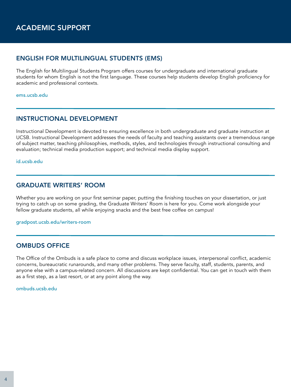## ACADEMIC SUPPORT

#### ENGLISH FOR MULTILINGUAL STUDENTS (EMS)

The English for Multilingual Students Program offers courses for undergraduate and international graduate students for whom English is not the first language. These courses help students develop English proficiency for academic and professional contexts.

#### [ems.ucsb.edu](http://www.ems.ucsb.edu)

#### INSTRUCTIONAL DEVELOPMENT

Instructional Development is devoted to ensuring excellence in both undergraduate and graduate instruction at UCSB. Instructional Development addresses the needs of faculty and teaching assistants over a tremendous range of subject matter, teaching philosophies, methods, styles, and technologies through instructional consulting and evaluation; technical media production support; and technical media display support.

[id.ucsb.edu](http://id.ucsb.edu)

#### GRADUATE WRITERS' ROOM

Whether you are working on your first seminar paper, putting the finishing touches on your dissertation, or just trying to catch up on some grading, the Graduate Writers' Room is here for you. Come work alongside your fellow graduate students, all while enjoying snacks and the best free coffee on campus!

#### [gradpost.ucsb.edu/writers-room](http://www.gradpost.ucsb.edu/writers-room)

#### OMBUDS OFFICE

The Office of the Ombuds is a safe place to come and discuss workplace issues, interpersonal conflict, academic concerns, bureaucratic runarounds, and many other problems. They serve faculty, staff, students, parents, and anyone else with a campus-related concern. All discussions are kept confidential. You can get in touch with them as a first step, as a last resort, or at any point along the way.

[ombuds.ucsb.edu](http://www.ombuds.ucsb.edu)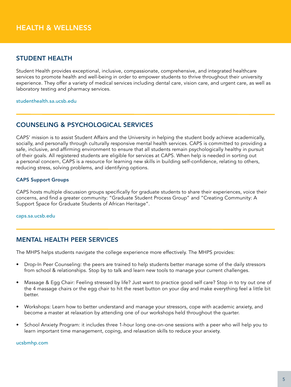## <span id="page-4-0"></span>STUDENT HEALTH

Student Health provides exceptional, inclusive, compassionate, comprehensive, and integrated healthcare services to promote health and well-being in order to empower students to thrive throughout their university experience. They offer a variety of medical services including dental care, vision care, and urgent care, as well as laboratory testing and pharmacy services.

[studenthealth.sa.ucsb.edu](http://studenthealth.sa.ucsb.edu/)

#### COUNSELING & PSYCHOLOGICAL SERVICES

CAPS' mission is to assist Student Affairs and the University in helping the student body achieve academically, socially, and personally through culturally responsive mental health services. CAPS is committed to providing a safe, inclusive, and affirming environment to ensure that all students remain psychologically healthy in pursuit of their goals. All registered students are eligible for services at CAPS. When help is needed in sorting out a personal concern, CAPS is a resource for learning new skills in building self-confidence, relating to others, reducing stress, solving problems, and identifying options.

#### CAPS Support Groups

CAPS hosts multiple discussion groups specifically for graduate students to share their experiences, voice their concerns, and find a greater community: "Graduate Student Process Group" and "Creating Community: A Support Space for Graduate Students of African Heritage".

[caps.sa.ucsb.edu](http://caps.sa.ucsb.edu/)

#### MENTAL HEALTH PEER SERVICES

The MHPS helps students navigate the college experience more effectively. The MHPS provides:

- Drop-In Peer Counseling: the peers are trained to help students better manage some of the daily stressors from school & relationships. Stop by to talk and learn new tools to manage your current challenges.
- Massage & Egg Chair: Feeling stressed by life? Just want to practice good self care? Stop in to try out one of the 4 massage chairs or the egg chair to hit the reset button on your day and make everything feel a little bit better.
- Workshops: Learn how to better understand and manage your stressors, cope with academic anxiety, and become a master at relaxation by attending one of our workshops held throughout the quarter.
- School Anxiety Program: it includes three 1-hour long one-on-one sessions with a peer who will help you to learn important time management, coping, and relaxation skills to reduce your anxiety.

[ucsbmhp.com](http://www.ucsbmhp.com/)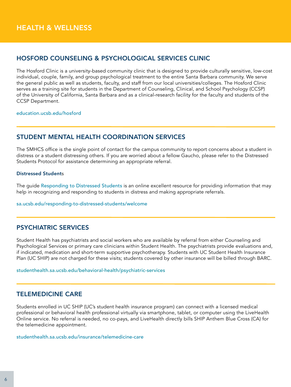## HOSFORD COUNSELING & PSYCHOLOGICAL SERVICES CLINIC

The Hosford Clinic is a university-based community clinic that is designed to provide culturally sensitive, low-cost individual, couple, family, and group psychological treatment to the entire Santa Barbara community. We serve the general public as well as students, faculty, and staff from our local universities/colleges. The Hosford Clinic serves as a training site for students in the Department of Counseling, Clinical, and School Psychology (CCSP) of the University of California, Santa Barbara and as a clinical-research facility for the faculty and students of the CCSP Department.

[education.ucsb.edu/hosford](https://education.ucsb.edu/hosford)

## STUDENT MENTAL HEALTH COORDINATION SERVICES

The SMHCS office is the single point of contact for the campus community to report concerns about a student in distress or a student distressing others. If you are worried about a fellow Gaucho, please refer to the Distressed Students Protocol for assistance determining an appropriate referral.

#### Distressed Students

The guide [Responding to Distressed Students](http://www.sa.ucsb.edu/docs/default-source/distressed-students-guide_/distressed-student-protocol.pdf?sfvrsn=ffc96c4f_12) is an online excellent resource for providing information that may help in recognizing and responding to students in distress and making appropriate referrals.

[sa.ucsb.edu/responding-to-distressed-students/welcome](http://www.sa.ucsb.edu/responding-to-distressed-students/welcome)

#### PSYCHIATRIC SERVICES

Student Health has psychiatrists and social workers who are available by referral from either Counseling and Psychological Services or primary care clinicians within Student Health. The psychiatrists provide evaluations and, if indicated, medication and short-term supportive psychotherapy. Students with UC Student Health Insurance [P]( http://studenthealth.sa.ucsb.edu/behavioral-health-at-shs/psychiatry)lan (UC SHIP) are not charged for these visits; students covered by other insurance will be billed through BARC.

[studenthealth.sa.ucsb.edu/behavioral-health/psychiatric-services](https://studenthealth.sa.ucsb.edu/behavioral-health/psychiatric-services)

#### TELEMEDICINE CARE

Students enrolled in UC SHIP (UC's student health insurance program) can connect with a licensed medical professional or behavioral health professional virtually via smartphone, tablet, or computer using the LiveHealth Online service. No referral is needed, no co-pays, and LiveHealth directly bills SHIP Anthem Blue Cross (CA) for the telemedicine appointment.

[studenthealth.sa.ucsb.edu/insurance/telemedicine-care](http://studenthealth.sa.ucsb.edu/insurance/telemedicine-care)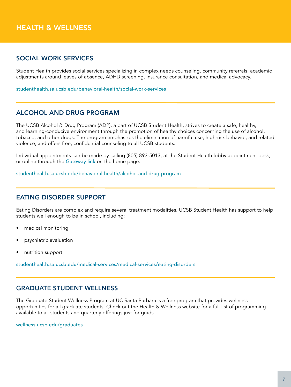## HEALTH & WELLNESS

#### SOCIAL WORK SERVICES

Student Health provides social services specializing in complex needs counseling, community referrals, academic adjustments around leaves of absence, ADHD screening, insurance consultation, and medical advocacy.

[studenthealth.sa.ucsb.edu/behavioral-health/social-work-services](https://studenthealth.sa.ucsb.edu/behavioral-health/social-work-services)

#### ALCOHOL AND DRUG PROGRAM

The UCSB Alcohol & Drug Program (ADP), a part of UCSB Student Health, strives to create a safe, healthy, and learning-conducive environment through the promotion of healthy choices concerning the use of alcohol, tobacco, and other drugs. The program emphasizes the elimination of harmful use, high-risk behavior, and related violence, and offers free, confidential counseling to all UCSB students.

Individual appointments can be made by calling (805) 893-5013, at the Student Health lobby appointment desk, or online through the [Gateway link](https://studenthealthoc.sa.ucsb.edu/login_dualauthentication.aspx) on the home page.

[studenthealth.sa.ucsb.edu/behavioral-health/alcohol-and-drug-program](https://studenthealth.sa.ucsb.edu/behavioral-health/alcohol-and-drug-program)

#### EATING DISORDER SUPPORT

Eating Disorders are complex and require several treatment modalities. UCSB Student Health has support to help students well enough to be in school, including:

- medical monitoring
- psychiatric evaluation
- nutrition support

[studenthealth.sa.ucsb.edu/medical-services/medical-services/eating-disorders](https://studenthealth.sa.ucsb.edu/medical-services/medical-services/eating-disorders)

#### GRADUATE STUDENT WELLNESS

The Graduate Student Wellness Program at UC Santa Barbara is a free program that provides wellness opportunities for all graduate students. Check out the Health & Wellness website for a full list of programming available to all students and quarterly offerings just for grads.

[wellness.ucsb.edu/graduates](http://wellness.ucsb.edu/graduates)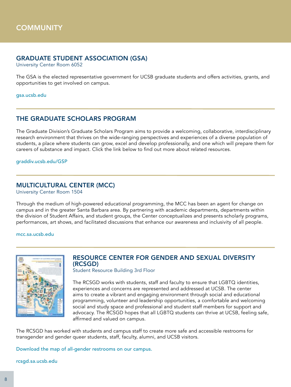#### <span id="page-7-0"></span>GRADUATE STUDENT ASSOCIATION (GSA)

University Center Room 6052

The GSA is the elected representative government for UCSB graduate students and offers activities, grants, and opportunities to get involved on campus.

[gsa.ucsb.edu](https://gsa.ucsb.edu/)

#### THE GRADUATE SCHOLARS PROGRAM

The Graduate Division's Graduate Scholars Program aims to provide a welcoming, collaborative, interdisciplinary research environment that thrives on the wide-ranging perspectives and experiences of a diverse population of [students, a place where students can grow, excel and develop professionally, and one which will prepare them for](https://rcsgd.sa.ucsb.edu/images/default-source/sgd/rcsgd/untitled-artwork.jpg?sfvrsn=55014993_0)  careers of substance and impact. Click the link below to find out more about related resources.

[graddiv.ucsb.edu/GSP](http://graddiv.ucsb.edu/GSP)

#### MULTICULTURAL CENTER (MCC)

University Center Room 1504

Through the medium of high-powered educational programming, the MCC has been an agent for change on campus and in the greater Santa Barbara area. By partnering with academic departments, departments within the division of Student Affairs, and student groups, the Center conceptualizes and presents scholarly programs, performances, art shows, and facilitated discussions that enhance our awareness and inclusivity of all people.

[mcc.sa.ucsb.edu](https://mcc.sa.ucsb.edu/) 



#### [R](http://rcsgd.sa.ucsb.edu/images/default-source/sgd/all-gender-restroom-map---update-9-5-1.png?sfvrsn=90f34a93_0)ESOURCE CENTER FOR GENDER AND SEXUAL DIVERSITY (RCSGD)

Student Resource Building 3rd Floor

The RCSGD works with students, staff and faculty to ensure that LGBTQ identities, experiences and concerns are represented and addressed at UCSB. The center aims to create a vibrant and engaging environment through social and educational programming, volunteer and leadership opportunities, a comfortable and welcoming social and study space and professional and student staff members for support and advocacy. The RCSGD hopes that all LGBTQ students can thrive at UCSB, feeling safe, affirmed and valued on campus.

The RCSGD has worked with students and campus staff to create more safe and accessible restrooms for transgender and gender queer students, staff, faculty, alumni, and UCSB visitors.

[Download the map of all-gender restrooms on our campus.](https://rcsgd.sa.ucsb.edu/images/default-source/sgd/rcsgd/untitled-artwork.jpg?sfvrsn=55014993_0)

[rcsgd.sa.ucsb.edu](https://rcsgd.sa.ucsb.edu/)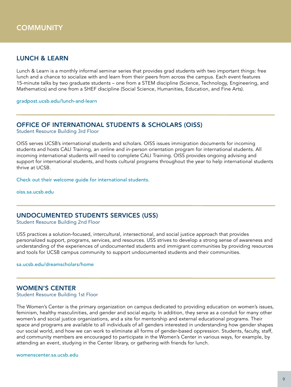## LUNCH & LEARN

Lunch & Learn is a monthly informal seminar series that provides grad students with two important things: free lunch and a chance to socialize with and learn from their peers from across the campus. Each event features 15-minute talks by two graduate students – one from a STEM discipline (Science, Technology, Engineering, and Mathematics) and one from a SHEF discipline (Social Science, Humanities, Education, and Fine Arts).

[gradpost.ucsb.edu/lunch-and-learn](http://www.gradpost.ucsb.edu/lunch-and-learn)

#### OFFICE OF INTERNATIONAL STUDENTS & SCHOLARS (OISS)

Student Resource Building 3rd Floor

OISS serves UCSB's international students and scholars. OISS issues immigration documents for incoming students and hosts CALI Training, an online and in-person orientation program for international students. All incoming international students will need to complete CALI Training. OISS provides ongoing advising and support for international students, and hosts cultural programs throughout the year to help international students [t](http://oiss.sa.ucsb.edu/student/newly-admitted-students)hrive at UCSB.

[Check out their welcome guide for international students.](http://oiss.sa.ucsb.edu/student/newly-admitted-students)

[oiss.sa.ucsb.edu](http://oiss.sa.ucsb.edu/)

#### UNDOCUMENTED STUDENTS SERVICES (USS)

Student Resource Building 2nd Floor

USS practices a solution-focused, intercultural, intersectional, and social justice approach that provides personalized support, programs, services, and resources. USS strives to develop a strong sense of awareness and understanding of the experiences of undocumented students and immigrant communities by providing resources [a]( http://studenthealth.sa.ucsb.edu/behavioral-health-at-shs/psychiatry)nd tools for UCSB campus community to support undocumented students and their communities.

[sa.ucsb.edu/dreamscholars/home](http://www.sa.ucsb.edu/dreamscholars/home)

#### WOMEN'S CENTER

Student Resource Building 1st Floor

The Women's Center is the primary organization on campus dedicated to providing education on women's issues, feminism, healthy masculinities, and gender and social equity. In addition, they serve as a conduit for many other women's and social justice organizations, and a site for mentorship and external educational programs. Their space and programs are available to all individuals of all genders interested in understanding how gender shapes our social world, and how we can work to eliminate all forms of gender-based oppression. Students, faculty, staff, and community members are encouraged to participate in the Women's Center in various ways, for example, by attending an event, studying in the Center library, or gathering with friends for lunch.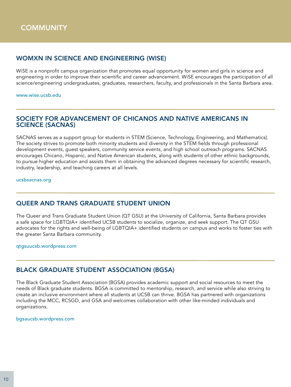## WOMXN IN SCIENCE AND ENGINEERING (WISE)

WiSE is a nonprofit campus organization that promotes equal opportunity for women and girls in science and engineering in order to improve their scientific and career advancement. WiSE encourages the participation of all science/engineering undergraduates, graduates, researchers, faculty, and professionals in the Santa Barbara area.

[www.wise.ucsb.edu](http://www.wise.ucsb.edu)

#### SOCIETY FOR ADVANCEMENT OF CHICANOS AND NATIVE AMERICANS IN SCIENCE (SACNAS)

SACNAS serves as a support group for students in STEM (Science, Technology, Engineering, and Mathematics). The society strives to promote both minority students and diversity in the STEM fields through professional development events, guest speakers, community service events, and high school outreach programs. SACNAS encourages Chicano, Hispanic, and Native American students, along with students of other ethnic backgrounds, to pursue higher education and assists them in obtaining the advanced degrees necessary for scientific research, industry, leadership, and teaching careers at all levels.

[ucsbsacnas.org](http://www.ucsbsacnas.org)

#### QUEER AND TRANS GRADUATE STUDENT UNION

The Queer and Trans Graduate Student Union (QT GSU) at the University of California, Santa Barbara provides a safe space for LGBTQIA+ identified UCSB students to socialize, organize, and seek support. The QT GSU advocates for the rights and well-being of LGBTQIA+ identified students on campus and works to foster ties with the greater Santa Barbara community.

[qtgsuucsb.wordpress.com](https://qtgsuucsb.wordpress.com/)

#### BLACK GRADUATE STUDENT ASSOCIATION (BGSA)

The Black Graduate Student Association (BGSA) provides academic support and social resources to meet the needs of Black graduate students. BGSA is committed to mentorship, research, and service while also striving to create an inclusive environment where all students at UCSB can thrive. BGSA has partnered with organizations including the MCC, RCSGD, and GSA and welcomes collaboration with other like-minded individuals and organizations.

[bgsaucsb.wordpress.com](http://bgsaucsb.wordpress.com/)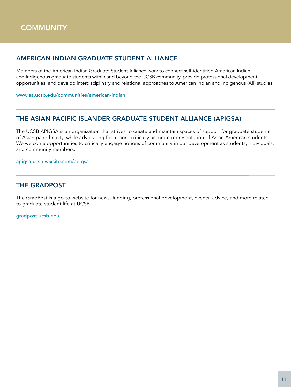## AMERICAN INDIAN GRADUATE STUDENT ALLIANCE

Members of the American Indian Graduate Student Alliance work to connect self-identified American Indian and Indigenous graduate students within and beyond the UCSB community, provide professional development opportunities, and develop interdisciplinary and relational approaches to American Indian and Indigenous (AII) studies.

[www.sa.ucsb.edu/communities/american-indian](http://www.sa.ucsb.edu/communities/american-indian)

## THE ASIAN PACIFIC ISLANDER GRADUATE STUDENT ALLIANCE (APIGSA)

The UCSB APIGSA is an organization that strives to create and maintain spaces of support for graduate students of Asian panethnicity, while advocating for a more critically accurate representation of Asian American students. We welcome opportunities to critically engage notions of community in our development as students, individuals, and community members.

[apigsa-ucsb.wixsite.com/apigsa](https://apigsa-ucsb.wixsite.com/apigsa)

## THE GRADPOST

The GradPost is a go-to website for news, funding, professional development, events, advice, and more related to graduate student life at UCSB.

[gradpost.ucsb.edu](http://www.gradpost.ucsb.edu/)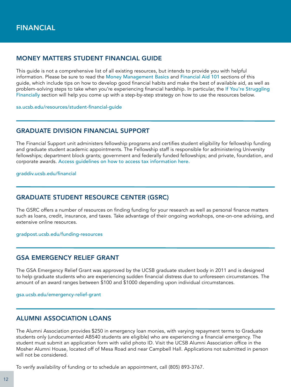#### <span id="page-11-0"></span>MONEY MATTERS STUDENT FINANCIAL GUIDE

This guide is not a comprehensive list of all existing resources, but intends to provide you with helpful information. Please be sure to read the [Money Management Basics](http://www.sa.ucsb.edu/resources/student-financial-guide/money-management-basics) and [Financial Aid 101](http://www.sa.ucsb.edu/resources/student-financial-guide/financial-aid-101) sections of this guide, which include tips on how to develop good financial habits and make the best of available aid, as well as problem-solving steps to take when you're experiencing financial hardship. In particular, the [If You're Struggling](http://www.sa.ucsb.edu/resources/student-financial-guide/if-you)  [Financially](http://www.sa.ucsb.edu/resources/student-financial-guide/if-you) section will help you come up with a step-by-step strategy on how to use the resources below.

[sa.ucsb.edu/resources/student-financial-guide](http://www.sa.ucsb.edu/resources/student-financial-guide)

#### GRADUATE DIVISION FINANCIAL SUPPORT

The Financial Support unit administers fellowship programs and certifies student eligibility for fellowship funding and graduate student academic appointments. The Fellowship staff is responsible for administering University fellowships; department block grants; government and federally funded fellowships; and private, foundation, and corporate awards. [Access guidelines on how to access tax information](https://www.graddiv.ucsb.edu/financial/tax-information) here.

[graddiv.ucsb.edu/financial](https://www.graddiv.ucsb.edu/financial)

#### GRADUATE STUDENT RESOURCE CENTER (GSRC)

The GSRC offers a number of resources on finding funding for your research as well as personal finance matters such as loans, credit, insurance, and taxes. Take advantage of their ongoing workshops, one-on-one advising, and extensive online resources.

[gradpost.ucsb.edu/funding-resources](http://gradpost.ucsb.edu/funding-resources)

#### GSA EMERGENCY RELIEF GRANT

The GSA Emergency Relief Grant was approved by the UCSB graduate student body in 2011 and is designed to help graduate students who are experiencing sudden financial distress due to unforeseen circumstances. The amount of an award ranges between \$100 and \$1000 depending upon individual circumstances.

[gsa.ucsb.edu/emergency-relief-grant](https://gsa.ucsb.edu/emergency-relief-grant)

#### ALUMNI ASSOCIATION LOANS

The Alumni Association provides \$250 in emergency loan monies, with varying repayment terms to Graduate students only (undocumented AB540 students are eligible) who are experiencing a financial emergency. The student must submit an application form with valid photo ID. Visit the UCSB Alumni Association office in the Mosher Alumni House, located off of Mesa Road and near Campbell Hall. Applications not submitted in person will not be considered.

To verify availability of funding or to schedule an appointment, call (805) 893-3767.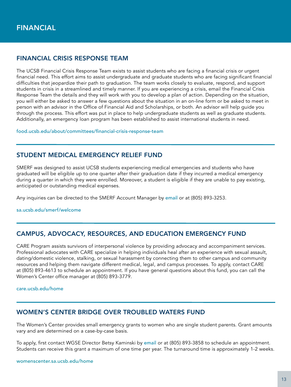## FINANCIAL CRISIS RESPONSE TEAM

The UCSB Financial Crisis Response Team exists to assist students who are facing a financial crisis or urgent financial need. This effort aims to assist undergraduate and graduate students who are facing significant financial difficulties that jeopardize their path to graduation. The team works closely to evaluate, respond, and support students in crisis in a streamlined and timely manner. If you are experiencing a crisis, email the Financial Crisis Response Team the details and they will work with you to develop a plan of action. Depending on the situation, you will either be asked to answer a few questions about the situation in an on-line form or be asked to meet in person with an advisor in the Office of Financial Aid and Scholarships, or both. An advisor will help guide you through the process. This effort was put in place to help undergraduate students as well as graduate students. Additionally, an emergency loan program has been established to assist international students in need.

[food.ucsb.edu/about/committees/financial-crisis-response-team](http://food.ucsb.edu/about/committees/financial-crisis-response-team)

## STUDENT MEDICAL EMERGENCY RELIEF FUND

SMERF was designed to assist UCSB students experiencing medical emergencies and students who have graduated will be eligible up to one quarter after their graduation date if they incurred a medical emergency during a quarter in which they were enrolled. Moreover, a student is eligible if they are unable to pay existing, anticipated or outstanding medical expenses.

Any inquiries can be directed to the SMERF Account Manager by [email](mailto:SMERF%40essr.ucsb.edu?subject=) or at (805) 893-3253.

[sa.ucsb.edu/smerf/welcome](https://www.sa.ucsb.edu/smerf/welcome)

#### CAMPUS, ADVOCACY, RESOURCES, AND EDUCATION EMERGENCY FUND

CARE Program assists survivors of interpersonal violence by providing advocacy and accompaniment services. Professional advocates with CARE specialize in helping individuals heal after an experience with sexual assault, dating/domestic violence, stalking, or sexual harassment by connecting them to other campus and community resources and helping them navigate different medical, legal, and campus processes. To apply, contact CARE at (805) 893-4613 to schedule an appointment. If you have general questions about this fund, you can call the Women's Center office manager at (805) 893-3779.

[care.ucsb.edu/home](http://care.ucsb.edu/home)

#### WOMEN'S CENTER BRIDGE OVER TROUBLED WATERS FUND

The Women's Center provides small emergency grants to women who are single student parents. Grant amounts vary and are determined on a case-by-case basis.

To apply, first contact WGSE Director Betsy Kaminsk[i by](mailto:kaminski%40ucsb.edu?subject=) [email](mailto:kaminski%40ucsb.edu?subject=) or at (805) 893-3858 to schedule an appointment. Students can receive this grant a maximum of one time per year. The turnaround time is approximately 1-2 weeks.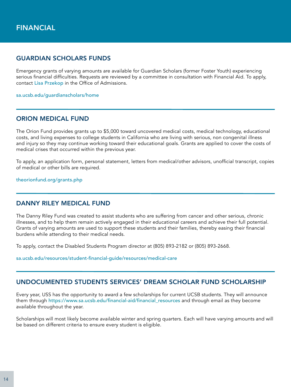## GUARDIAN SCHOLARS FUNDS

Emergency grants of varying amounts are available for Guardian Scholars (former Foster Youth) experiencing serious financial difficulties. Requests are reviewed by a committee in consultation with Financial Aid. To apply, [c]( http://studenthealth.sa.ucsb.edu/behavioral-health-at-shs/psychiatry)ontact [Lisa Przekop](mailto:lisa.przekop%40sa.ucsb.edu?subject=) in the Office of Admissions.

[sa.ucsb.edu/guardianscholars/home](http://www.sa.ucsb.edu/guardianscholars/home)

#### ORION MEDICAL FUND

The Orion Fund provides grants up to \$5,000 toward uncovered medical costs, medical technology, educational costs, and living expenses to college students in California who are living with serious, non congenital illness and injury so they may continue working toward their educational goals. Grants are applied to cover the costs of medical crises that occurred within the previous year.

To apply, an application form, personal statement, letters from medical/other advisors, unofficial transcript, copies of medical or other bills are required.

[theorionfund.org/grants.php](http://theorionfund.org/grants.php) 

#### DANNY RILEY MEDICAL FUND

The Danny Riley Fund was created to assist students who are suffering from cancer and other serious, chronic illnesses, and to help them remain actively engaged in their educational careers and achieve their full potential. Grants of varying amounts are used to support these students and their families, thereby easing their financial burdens while attending to their medical needs.

To apply, contact the Disabled Students Program director at (805) 893-2182 or (805) 893-2668.

[sa.ucsb.edu/resources/student-financial-guide/resources/medical-care](http://www.sa.ucsb.edu/resources/student-financial-guide/resources/medical-care)

#### UNDOCUMENTED STUDENTS SERVICES' DREAM SCHOLAR FUND SCHOLARSHIP

Every year, USS has the opportunity to award a few scholarships for current UCSB students. They will announce them through [https://www.sa.ucsb.edu/financial-aid/financial\\_resources](https://www.sa.ucsb.edu/financial-aid/financial_resources) and through email as they become available throughout the year.

Scholarships will most likely become available winter and spring quarters. Each will have varying amounts and will be based on different criteria to ensure every student is eligible.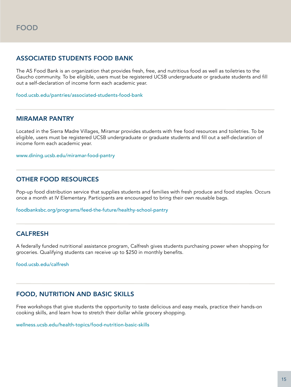## <span id="page-14-0"></span>ASSOCIATED STUDENTS FOOD BANK

The AS Food Bank is an organization that provides fresh, free, and nutritious food as well as toiletries to the Gaucho community. To be eligible, users must be registered UCSB undergraduate or graduate students and fill out a self-declaration of income form each academic year.

[food.ucsb.edu/pantries/associated-students-food-bank](http://food.ucsb.edu/pantries/associated-students-food-bank)

#### MIRAMAR PANTRY

Located in the Sierra Madre Villages, Miramar provides students with free food resources and toiletries. To be eligible, users must be registered UCSB undergraduate or graduate students and fill out a self-declaration of income form each academic year.

[www.dining.ucsb.edu/miramar-food-pantry](http://www.dining.ucsb.edu/miramar-food-pantry)

#### OTHER FOOD RESOURCES

Pop-up food distribution service that supplies students and families with fresh produce and food staples. Occurs once a month at IV Elementary. Participants are encouraged to bring their own reusable bags.

[foodbanksbc.org/programs/feed-the-future/healthy-school-pantry](https://foodbanksbc.org/programs/feed-the-future/healthy-school-pantry/)

#### CALFRESH

A federally funded nutritional assistance program, Calfresh gives students purchasing power when shopping for groceries. Qualifying students can receive up to \$250 in monthly benefits.

[food.ucsb.edu/calfresh](https://food.ucsb.edu/calfresh)

#### FOOD, NUTRITION AND BASIC SKILLS

Free workshops that give students the opportunity to taste delicious and easy meals, practice their hands-on cooking skills, and learn how to stretch their dollar while grocery shopping.

[wellness.ucsb.edu/health-topics/food-nutrition-basic-skills](http://wellness.ucsb.edu/health-topics/food-nutrition-basic-skills)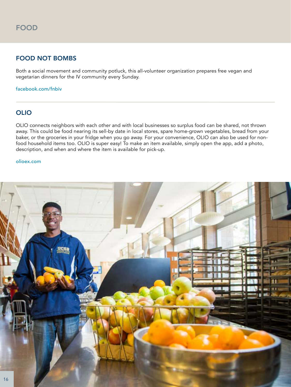## FOOD NOT BOMBS

Both a social movement and community potluck, this all-volunteer organization prepares free vegan and vegetarian dinners for the IV community every Sunday.

[facebook.com/fnbiv](https://www.facebook.com/fnbiv)

## OLIO

OLIO connects neighbors with each other and with local businesses so surplus food can be shared, not thrown away. This could be food nearing its sell-by date in local stores, spare home-grown vegetables, bread from your baker, or the groceries in your fridge when you go away. For your convenience, OLIO can also be used for nonfood household items too. OLIO is super easy! To make an item available, simply open the app, add a photo, description, and when and where the item is available for pick-up.

#### [olioex.com](https://olioex.com/)

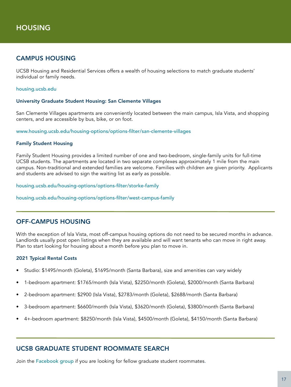## <span id="page-16-0"></span>CAMPUS HOUSING

UCSB Housing and Residential Services offers a wealth of housing selections to match graduate students' individual or family needs.

[housing.ucsb.edu](https://www.housing.ucsb.edu/)

#### University Graduate Student Housing: San Clemente Villages

San Clemente Villages apartments are conveniently located between the main campus, Isla Vista, and shopping centers, and are accessible by bus, bike, or on foot.

[www.housing.ucsb.edu/housing-options/options-filter/san-clemente-villages](http://www.housing.ucsb.edu/housing-options/options-filter/san-clemente-villages)

#### Family Student Housing

Family Student Housing provides a limited number of one and two-bedroom, single-family units for full-time UCSB students. The apartments are located in two separate complexes approximately 1 mile from the main campus. Non-traditional and extended families are welcome. Families with children are given priority. Applicants and students are advised to sign the waiting list as early as possible.

[housing.ucsb.edu/housing-options/options-filter/storke-family](http://housing.ucsb.edu/housing-options/options-filter/storke-family)

[housing.ucsb.edu/housing-options/options-filter/west-campus-family](http://housing.ucsb.edu/housing-options/options-filter/west-campus-family)

#### OFF-CAMPUS HOUSING

With the exception of Isla Vista, most off-campus housing options do not need to be secured months in advance. Landlords usually post open listings when they are available and will want tenants who can move in right away. Plan to start looking for housing about a month before you plan to move in.

#### 2021 Typical Rental Costs

- Studio: \$1495/month (Goleta), \$1695/month (Santa Barbara), size and amenities can vary widely
- 1-bedroom apartment: \$1765/month (Isla Vista), \$2250/month (Goleta), \$2000/month (Santa Barbara)
- 2-bedroom apartment: \$2900 (Isla Vista), \$2783/month (Goleta), \$2688/month (Santa Barbara)
- 3-bedroom apartment: \$6600/month (Isla Vista), \$3620/month (Goleta), \$3800/month (Santa Barbara)
- 4+-bedroom apartment: \$8250/month (Isla Vista), \$4500/month (Goleta), \$4150/month (Santa Barbara)

#### UCSB GRADUATE STUDENT ROOMMATE SEARCH

Join the Facebook group [if you are looking for fellow graduate student roommates](https://www.facebook.com/groups/346433092085178/about/).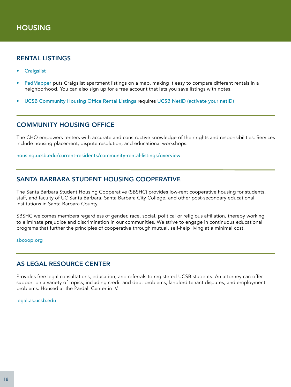#### RENTAL LISTINGS

- **[Craigslist](https://santabarbara.craigslist.org/)**
- [PadMapper](https://www.padmapper.com/) puts Craigslist apartment listings on a map, making it easy to compare different rentals in a neighborhood. You can also sign up for a free account that lets you save listings with notes.
- [UCSB Community Housing Office Rental Listing](https://rentallistings.housing.ucsb.edu/)s requires [UCSB NetID \(activate your netID\)](https://im.ucsb.edu/idm/manage)

#### COMMUNITY HOUSING OFFICE

The CHO empowers renters with accurate and constructive knowledge of their rights and responsibilities. Services include housing placement, dispute resolution, and educational workshops.

[housing.ucsb.edu/current-residents/community-rental-listings/overview](http://housing.ucsb.edu/current-residents/community-rental-listings/overview)

#### SANTA BARBARA STUDENT HOUSING COOPERATIVE

The Santa Barbara Student Housing Cooperative (SBSHC) provides low-rent cooperative housing for students, staff, and faculty of UC Santa Barbara, Santa Barbara City College, and other post-secondary educational institutions in Santa Barbara County.

SBSHC welcomes members regardless of gender, race, social, political or religious affiliation, thereby working to eliminate prejudice and discrimination in our communities. We strive to engage in continuous educational programs that further the principles of cooperative through mutual, self-help living at a minimal cost.

[sbcoop.org](http://www.sbcoop.org/)

#### AS LEGAL RESOURCE CENTER

Provides free legal consultations, education, and referrals to registered UCSB students. An attorney can offer support on a variety of topics, including credi[t]( http://studenthealth.sa.ucsb.edu/behavioral-health-at-shs/psychiatry) and debt problems, landlord tenant disputes, and employment problems. Housed at the Pardall Center in IV.

[legal.as.ucsb.edu](https://legal.as.ucsb.edu/)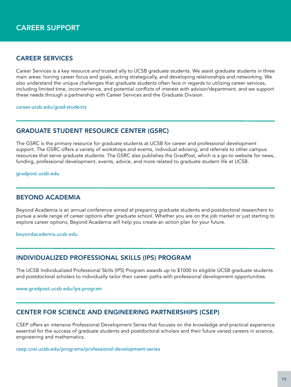## <span id="page-18-0"></span>CAREER SERVICES

Career Services is a key resource and trusted ally to UCSB graduate students. We assist graduate students in three main areas: honing career focus and goals, acting strategically, and developing relationships and networking. We also understand the unique challenges that graduate students often face in regards to utilizing career services, including limited time, inconvenience, and potential conflicts of interest with advisor/department, and we support these needs through a partnership with Career Services and the Graduate Division.

[career.ucsb.edu/grad-students](https://career.ucsb.edu/grad-students)

## GRADUATE STUDENT RESOURCE CENTER (GSRC)

The GSRC is the primary resource for graduate students at UCSB for career and professional development support. The GSRC offers a variety of workshops and events, individual advising, and referrals to other campus resources that serve graduate students. The GSRC also publishes the GradPost, which is a go-to website for news, funding, professional development, events, advice, and more related to graduate student life at UCSB.

[gradpost.ucsb.edu](http://www.gradpost.ucsb.edu/)

#### BEYOND ACADEMIA

Beyond Academia is an annual conference aimed at preparing graduate students and postdoctoral researchers to pursue a wide range of career options after graduate school. Whether you are on the job market or just starting to explore career options, Beyond Academia will help you create an action plan for your future.

[beyondacademia.ucsb.edu](https://beyondacademia.ucsb.edu)

#### INDIVIDUALIZED PROFESSIONAL SKILLS (IPS) PROGRAM

The UCSB Individualized Professional Skills (IPS) Program awards up to \$1000 to eligible UCSB graduate students and postdoctoral scholars to individually tailor their career paths with professional development opportunities.

[www.gradpost.ucsb.edu/ips-program](https://www.gradpost.ucsb.edu/ips-program)

#### CENTER FOR SCIENCE AND ENGINEERING PARTNERSHIPS (CSEP)

CSEP offers an intensive Professional Development Series that focuses on the knowledge and practical experience essential for the success of graduate students and postdoctoral scholars and their future varied careers in science, engineering and mathematics.

[csep.cnsi.ucsb.edu/programs/professional-development-series](http://csep.cnsi.ucsb.edu/programs/professional-development-series)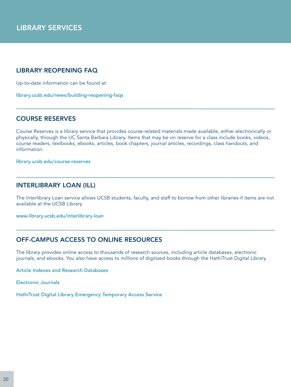## <span id="page-19-0"></span>LIBRARY REOPENING FAQ

Up-to-date information can be found at:

[library.ucsb.edu/news/building-reopening-faqs](http://www.library.ucsb.edu/news/building-reopening-faqs)

#### COURSE RESERVES

Course Reserves is a library service that provides course-related materials made available, either electronically or physically, through the UC Santa Barbara Library. Items that may be on reserve for a class include books, videos, course readers, textbooks, ebooks, articles, book chapters, journal articles, recordings, class handouts, and information.

[library.ucsb.edu/course-reserves](https://www.library.ucsb.edu/course-reserves) 

#### INTERLIBRARY LOAN (ILL)

The Interlibrary Loan service allows UCSB students, faculty, and staff to borrow from other libraries if items are not available at the UCSB Library.

[www.library.ucsb.edu/interlibrary-loan](https://www.library.ucsb.edu/interlibrary-loan) 

## OFF-CAMPUS ACCESS TO ONLINE RESOURCES

The library provides online access to thousands of research sources, including article databases, electronic journals, and ebooks. You also have access to millions of digitized books through the HathiTrust Digital Library.

[Article Indexes and Research Databases](https://www.library.ucsb.edu/research)

[Electronic Journals](https://www.library.ucsb.edu/research/db/112)

[HathiTrust Digital Library Emergency Temporary Access Service](https://www.library.ucsb.edu/research/db/hathitrust)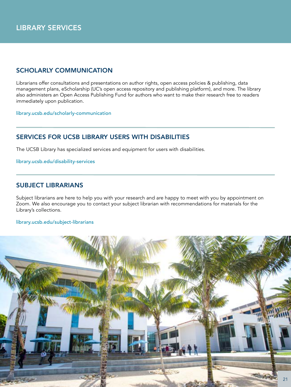## SCHOLARLY COMMUNICATION

Librarians offer consultations and presentations on author rights, open access policies & publishing, data management plans, eScholarship (UC's open access repository and publishing platform), and more. The library also administers an Open Access Publishing Fund for authors who want to make their research free to readers immediately upon publication.

[library.ucsb.edu/scholarly-communication](https://www.library.ucsb.edu/scholarly-communication) 

## SERVICES FOR UCSB LIBRARY USERS WITH DISABILITIES

[T]( https://www.library.ucsb.edu/course-reserves)he UCSB Library has specialized services and equipment for users with disabilities.

[library.ucsb.edu/disability-services](https://www.library.ucsb.edu/disability-services)

## SUBJECT LIBRARIANS

Subject librarians are here to help you with your research and are happy to meet with you by appointment on Zoom. We also encourage you to contact your subject librarian with recommendations for materials for the Library's collections.

#### [library.ucsb.edu/subject-librarians](https://www.library.ucsb.edu/subject-librarians)

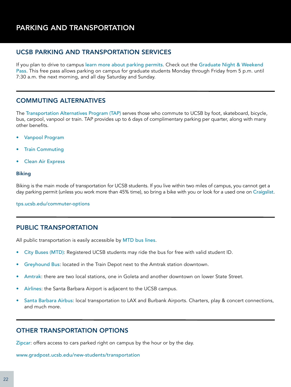## <span id="page-21-0"></span>PARKING AND TRANSPORTATION

#### UCSB PARKING AND TRANSPORTATION SERVICES

If you plan to drive to campus [learn more about parking permits](https://www.tps.ucsb.edu/parking-permits/student/university-owned-apartments-epermits). Check out the Graduate Night & Weekend [Pass](https://www.tps.ucsb.edu/parking-permits/student/graduate-night-weekend-epermit). This free pass allows parking on campus for graduate students Monday through Friday from 5 p.m. until 7:30 a.m. the next morning, and all day Saturday and Sunday.

#### COMMUTING ALTERNATIVES

The [Transportation Alternatives Program \(TAP\)](http://tps.ucsb.edu/commuter-options) serves those who commute to UCSB by foot, skateboard, bicycle, bus, carpool, vanpool or train. TAP provides up to 6 days of complimentary parking per quarter, along with many other benefits.

- [Vanpool Program](https://www.tps.ucsb.edu/commuter-options/ucsb-vanpool-program)
- **[Train Commuting](https://www.tps.ucsb.edu/commuter-options/commute-rail)**
- [Clean Air Express](http://www.cleanairexpress.com/)

#### **Biking**

Biking is the main mode of transportation for UCSB students. If you live within two miles of campus, you cannot get a day parking permit (unless you work more than 45% time), so bring a bike with you or look for a used one on [Craigslist](http://santabarbara.craigslist.org/).

[tps.ucsb.edu/commuter-options](http://www.tps.ucsb.edu/commuter-options)

#### PUBLIC TRANSPORTATION

All public transportation is easily accessible by [MTD bus lines](http://sbmtd.gov/).

- [City Buses \(MTD\)](http://sbmtd.gov/): Registered UCSB students may ride the bus for free with valid student ID.
- [Greyhound Bus](http://www.greyhound.com/): located in the Train Depot next to the Amtrak station downtown.
- [Amtrak](http://www.amtrak.com/home): there are two local stations, one in Goleta and another downtown on lower State Street.
- [Airlines](http://www.flysba.com/): the Santa Barbara Airport is adjacent to the UCSB campus.
- [Santa Barbara Airbus](http://www.sbairbus.com/): local transportation to LAX and Burbank Airports. Charters, play & concert connections, and much more.

#### OTHER TRANSPORTATION OPTIONS

[Zipcar](https://www.zipcar.com/universities/university-of-california-at-santa-barbara): offers access to cars parked right on campus by the hour or by the day.

[www.gradpost.ucsb.edu/new-students/transportation](http://www.gradpost.ucsb.edu/new-students/transportation)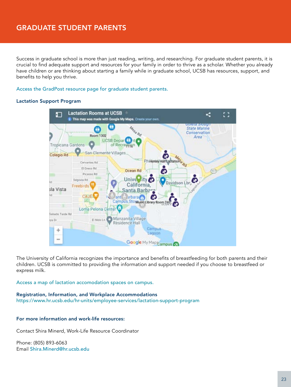<span id="page-22-0"></span>Success in graduate school is more than just reading, writing, and researching. For graduate student parents, it is crucial to find adequate support and resources for your family in order to thrive as a scholar. Whether you already have children or are thinking about starting a family while in graduate school, UCSB has resources, support, and benefits to help you thrive.

#### [Access the GradPost resource page for graduate student parents.](http://www.gradpost.ucsb.edu/student-parents)

#### Lactation Support Program



The University of California recognizes the importance and benefits of breastfeeding for both parents and their children. UCSB is committed to providing the information and support needed if you choose to breastfeed or express milk.

[Access a map of lactation accomodation spaces on campus.](https://www.hr.ucsb.edu/hr-units/employee-services/lactation-support-program#pub-lac-rm)

Registration, Information, and Workplace Accommodations <https://www.hr.ucsb.edu/hr-units/employee-services/lactation-support-program>

#### For more information and work-life resources:

Contact Shira Minerd, Work-Life Resource Coordinator

Phone: (805) 893-6063 Email [Shira.Minerd@hr.ucsb.e](mailto:Shira.Minerd%40hr.ucsb.edu?subject=)du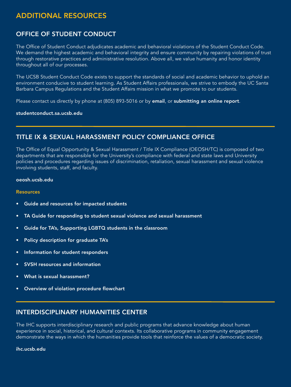## <span id="page-23-0"></span>ADDITIONAL RESOURCES

## OFFICE OF STUDENT CONDUCT

The Office of Student Conduct adjudicates academic and behavioral violations of the Student Conduct Code. We demand the highest academic and behavioral integrity and ensure community by repairing violations of trust through restorative practices and administrative resolution. Above all, we value humanity and honor identity throughout all of our processes.

The UCSB Student Conduct Code exists to support the standards of social and academic behavior to uphold an environment conducive to student learning. As Student Affairs professionals, we strive to embody the UC Santa Barbara Campus Regulations and the Student Affairs mission in what we promote to our students.

Please contact us directly by phone at (805) 893-5016 or by [email](mailto:STUDENTCONDUCT%40SA.UCSB.EDU?subject=), or [submitting an online report](https://ucsb-advocate.symplicity.com/public_report/index.php/pid857502?).

[studentconduct.sa.ucsb.edu](http://studentconduct.sa.ucsb.edu/)

#### TITLE IX & SEXUAL HARASSMENT POLICY COMPLIANCE OFFICE

The Office of Equal Opportunity & Sexual Harassment / Title IX Compliance (OEOSH/TC) is composed of two departments that are responsible for the University's compliance with federal and state laws and University policies and procedures regarding issues of discrimination, retaliation, sexual harassment and sexual violence involving students, staff, and faculty.

#### [oeosh.ucsb.edu](https://oeosh.ucsb.edu/)

#### **Resources**

- [Guide and resources for impacted students](https://www.graddiv.ucsb.edu/docs/default-source/default-document-library/resources-for-impacted-parties---january-2717.pdf?sfvrsn=0)
- [TA Guide for responding to student sexual violence and sexual harassment](https://www.graddiv.ucsb.edu/docs/default-source/default-document-library/ta-guide-2c-aug-2716.pdf?sfvrsn=0)
- [Guide for TA's, Supporting LGBTQ students in the classroom](https://www.graddiv.ucsb.edu/docs/default-source/default-document-library/ta-lgbtq-guide.pdf?sfvrsn=0)
- [Policy description for graduate TA's](https://www.graddiv.ucsb.edu/docs/default-source/default-document-library/policy-2c-gradudate-amp-tas-9-7-16.pdf?sfvrsn=0)
- [Information for student responders](https://www.graddiv.ucsb.edu/docs/default-source/default-document-library/respondent-services-information-fall-2716.pdf?sfvrsn=0)
- **[SVSH resources and information](https://www.graddiv.ucsb.edu/docs/default-source/default-document-library/svsh-resources-2c-august-2717.pdf?sfvrsn=0)**
- [What is sexual harassment?](https://www.graddiv.ucsb.edu/docs/default-source/default-document-library/dfeh---english-04-2017.pdf?sfvrsn=0)
- [Overview of violation procedure flowchart](https://www.graddiv.ucsb.edu/docs/default-source/default-document-library/overview-flowchart-procedure-2c-eff-jan-2716.pdf?sfvrsn=0)

#### INTERDISCIPLINARY HUMANITIES CENTER

The IHC supports interdisciplinary research and public programs that advance knowledge about human experience in social, historical, and cultural contexts. Its collaborative programs in community engagement demonstrate the ways in which the humanities provide tools that reinforce the values of a democratic society.

[ihc.ucsb.edu](https://www.ihc.ucsb.edu/)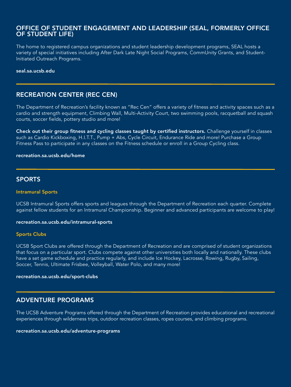#### OFFICE OF STUDENT ENGAGEMENT AND LEADERSHIP (SEAL, FORMERLY OFFICE OF STUDENT LIFE)

The home to registered campus organizations and student leadership development programs, SEAL hosts a variety of special initiatives including After Dark Late Night Social Programs, CommUnity Grants, and Student-Initiated Outreach Programs.

#### [seal.sa.ucsb.edu](https://seal.sa.ucsb.edu/)/

#### RECREATION CENTER (REC CEN)

The Department of Recreation's facility known as "Rec Cen" offers a variety of fitness and activity spaces such as a cardio and strength equipment, Climbing Wall, Multi-Activity Court, two swimming pools, racquetball and squash courts, soccer fields, pottery studio and more!

[Check out their group fitness and cycling classes taught by certified instructors.](http://recreation.sa.ucsb.edu/classes-events/group-cycling) Challenge yourself in classes such as Cardio Kickboxing, H.I.T.T., Pump + Abs, Cycle Circuit, Endurance Ride and more! Purchase a Group Fitness Pass to participate in any classes on the Fitness schedule or enroll in a Group Cycling class.

#### [recreation.sa.ucsb.edu/home](http://recreation.sa.ucsb.edu/home)

#### SPORTS

#### Intramural Sports

UCSB Intramural Sports offers sports and leagues through the Department of Recreation each quarter. Complete against fellow students for an Intramural Championship. Beginner and advanced participants are welcome to play!

#### [recreation.sa.ucsb.edu/intramural-sports](http://recreation.sa.ucsb.edu/intramural-sports)

#### Sports Clubs

UCSB Sport Clubs are offered through the Department of Recreation and are comprised of student organizations that focus on a particular sport. Clubs compete against other universities both locally and nationally. These clubs have a set game schedule and practice regularly, and include Ice Hockey, Lacrosse, Rowing, Rugby, Sailing, Soccer, Tennis, Ultimate Frisbee, Volleyball, Water Polo, and many more!

#### [recreation.sa.ucsb.edu/sport-clubs](http://recreation.sa.ucsb.edu/sport-clubs)

#### ADVENTURE PROGRAMS

The UCSB Adventure Programs offered through the Department of Recreation provides educational and recreational experiences through wilderness trips, outdoor recreation classes, ropes courses, and climbing programs.

#### [recreation.sa.ucsb.edu/adventure-programs](https://recreation.sa.ucsb.edu/adventure-programs)